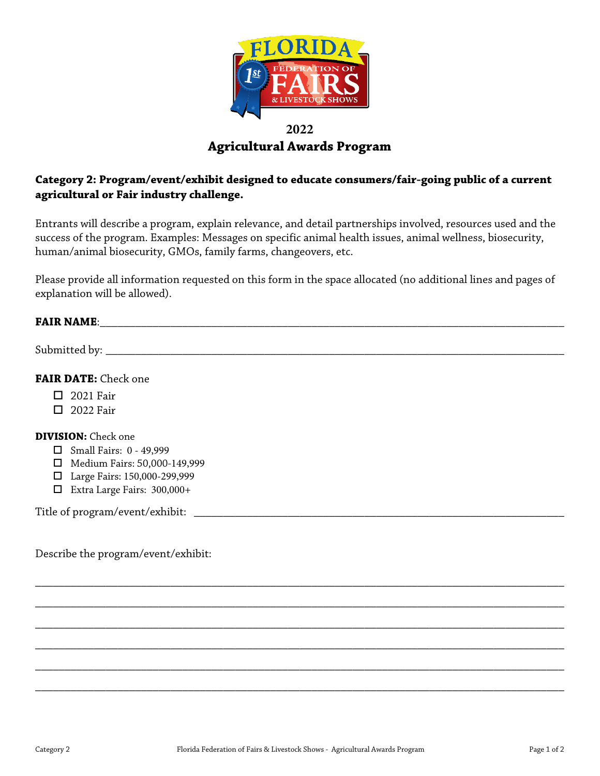

# **2022 Agricultural Awards Program**

# **Category 2: Program/event/exhibit designed to educate consumers/fair-going public of a current agricultural or Fair industry challenge.**

Entrants will describe a program, explain relevance, and detail partnerships involved, resources used and the success of the program. Examples: Messages on specific animal health issues, animal wellness, biosecurity, human/animal biosecurity, GMOs, family farms, changeovers, etc.

Please provide all information requested on this form in the space allocated (no additional lines and pages of explanation will be allowed).

### **FAIR NAME:**  $\blacksquare$

Submitted by: \_\_\_\_\_\_\_\_\_\_\_\_\_\_\_\_\_\_\_\_\_\_\_\_\_\_\_\_\_\_\_\_\_\_\_\_\_\_\_\_\_\_\_\_\_\_\_\_\_\_\_\_\_\_\_\_\_\_\_\_\_\_\_\_\_\_\_\_\_\_\_\_\_\_\_\_\_\_

### **FAIR DATE:** Check one

- $\Box$  2021 Fair
- □ 2022 Fair

#### **DIVISION:** Check one

- $\Box$  Small Fairs: 0 49,999
- Medium Fairs: 50,000-149,999
- Large Fairs: 150,000-299,999
- Extra Large Fairs: 300,000+

Title of program/event/exhibit:

Describe the program/event/exhibit:

\_\_\_\_\_\_\_\_\_\_\_\_\_\_\_\_\_\_\_\_\_\_\_\_\_\_\_\_\_\_\_\_\_\_\_\_\_\_\_\_\_\_\_\_\_\_\_\_\_\_\_\_\_\_\_\_\_\_\_\_\_\_\_\_\_\_\_\_\_\_\_\_\_\_\_\_\_\_\_\_\_\_\_\_\_\_\_\_\_\_

\_\_\_\_\_\_\_\_\_\_\_\_\_\_\_\_\_\_\_\_\_\_\_\_\_\_\_\_\_\_\_\_\_\_\_\_\_\_\_\_\_\_\_\_\_\_\_\_\_\_\_\_\_\_\_\_\_\_\_\_\_\_\_\_\_\_\_\_\_\_\_\_\_\_\_\_\_\_\_\_\_\_\_\_\_\_\_\_\_\_

\_\_\_\_\_\_\_\_\_\_\_\_\_\_\_\_\_\_\_\_\_\_\_\_\_\_\_\_\_\_\_\_\_\_\_\_\_\_\_\_\_\_\_\_\_\_\_\_\_\_\_\_\_\_\_\_\_\_\_\_\_\_\_\_\_\_\_\_\_\_\_\_\_\_\_\_\_\_\_\_\_\_\_\_\_\_\_\_\_\_

\_\_\_\_\_\_\_\_\_\_\_\_\_\_\_\_\_\_\_\_\_\_\_\_\_\_\_\_\_\_\_\_\_\_\_\_\_\_\_\_\_\_\_\_\_\_\_\_\_\_\_\_\_\_\_\_\_\_\_\_\_\_\_\_\_\_\_\_\_\_\_\_\_\_\_\_\_\_\_\_\_\_\_\_\_\_\_\_\_\_

\_\_\_\_\_\_\_\_\_\_\_\_\_\_\_\_\_\_\_\_\_\_\_\_\_\_\_\_\_\_\_\_\_\_\_\_\_\_\_\_\_\_\_\_\_\_\_\_\_\_\_\_\_\_\_\_\_\_\_\_\_\_\_\_\_\_\_\_\_\_\_\_\_\_\_\_\_\_\_\_\_\_\_\_\_\_\_\_\_\_

\_\_\_\_\_\_\_\_\_\_\_\_\_\_\_\_\_\_\_\_\_\_\_\_\_\_\_\_\_\_\_\_\_\_\_\_\_\_\_\_\_\_\_\_\_\_\_\_\_\_\_\_\_\_\_\_\_\_\_\_\_\_\_\_\_\_\_\_\_\_\_\_\_\_\_\_\_\_\_\_\_\_\_\_\_\_\_\_\_\_